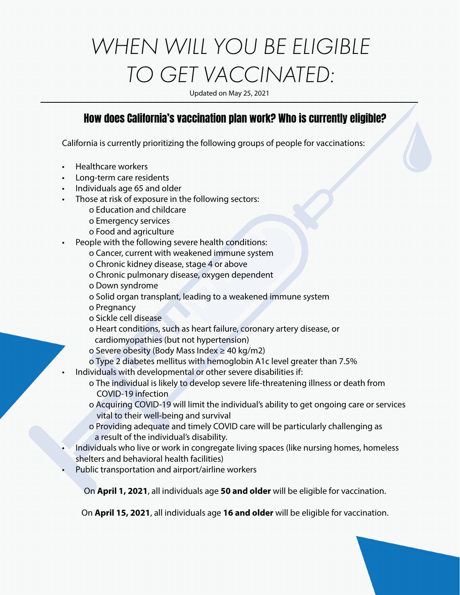# *WHEN WILL YOU BE ELIGIBLE TO GET VACCINATED:*

Updated on May 25, 2021

#### How does California's vaccination plan work? Who is currently eligible?

California is currently prioritizing the following groups of people for vaccinations:

- Healthcare workers
- Long-term care residents
- Individuals age 65 and older
- Those at risk of exposure in the following sectors:
	- o Education and childcare
	- o Emergency services
	- o Food and agriculture
- People with the following severe health conditions:
	- o Cancer, current with weakened immune system
	- o Chronic kidney disease, stage 4 or above
	- o Chronic pulmonary disease, oxygen dependent
	- o Down syndrome
	- o Solid organ transplant, leading to a weakened immune system
	- o Pregnancy
	- o Sickle cell disease
	- o Heart conditions, such as heart failure, coronary artery disease, or cardiomyopathies (but not hypertension)
	- o Severe obesity (Body Mass Index ≥ 40 kg/m2)
	- o Type 2 diabetes mellitus with hemoglobin A1c level greater than 7.5%
- Individuals with developmental or other severe disabilities if:
	- o The individual is likely to develop severe life-threatening illness or death from COVID-19 infection
	- o Acquiring COVID-19 will limit the individual's ability to get ongoing care or services vital to their well-being and survival
	- o Providing adequate and timely COVID care will be particularly challenging as a result of the individual's disability.
- Individuals who live or work in congregate living spaces (like nursing homes, homeless shelters and behavioral health facilities)
- Public transportation and airport/airline workers

On **April 1, 2021**, all individuals age **50 and older** will be eligible for vaccination.

On **April 15, 2021**, all individuals age **16 and older** will be eligible for vaccination.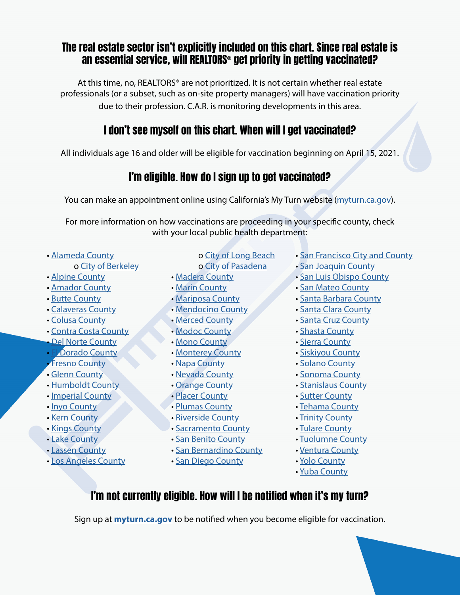#### The real estate sector isn't explicitly included on this chart. Since real estate is an essential service, will REALTORS® get priority in getting vaccinated?

At this time, no, REALTORS® are not prioritized. It is not certain whether real estate professionals (or a subset, such as on-site property managers) will have vaccination priority due to their profession. C.A.R. is monitoring developments in this area.

# I don't see myself on this chart. When will I get vaccinated?

All individuals age 16 and older will be eligible for vaccination beginning on April 15, 2021.

# I'm eligible. How do I sign up to get vaccinated?

You can make an appointment online using California's My Turn website ([myturn.ca.gov](http://myturn.ca.gov)).

For more information on how vaccinations are proceeding in your specific county, check with your local public health department:

• Alameda County

#### o City of Berkeley

- Alpine County
- Amador County
- Butte County
- Calaveras County
- Colusa County
- Contra Costa County
- Del Norte County
- **El Dorado County**
- **Fresno County**
- Glenn County
- Humboldt County
- Imperial County
- Inyo County
- Kern County
- Kings County
- Lake County
- Lassen County
- Los Angeles County

o City of Long Beach o City of Pasadena

- Madera County
- Marin County
- Mariposa County
- Mendocino County
- Merced County
- Modoc County
- Mono County
- Monterey County
- Napa County
- Nevada County
- Orange County
- Placer County
- Plumas County
- Riverside County
- Sacramento County
- San Benito County
- San Bernardino County
- San Diego County
- San Francisco City and County
- San Joaquin County
- San Luis Obispo County
- San Mateo County
- Santa Barbara County
- Santa Clara County
- Santa Cruz County
- Shasta County
- Sierra County
- Siskiyou County
- Solano County
- Sonoma County
- Stanislaus County
- Sutter County
- Tehama County
- Trinity County
- Tulare County
- Tuolumne County
- Ventura County
- Yolo County
- Yuba County

# I'm not currently eligible. How will I be notified when it's my turn?

Sign up at **[myturn.ca.gov](https://myturn.ca.gov)** to be notified when you become eligible for vaccination.